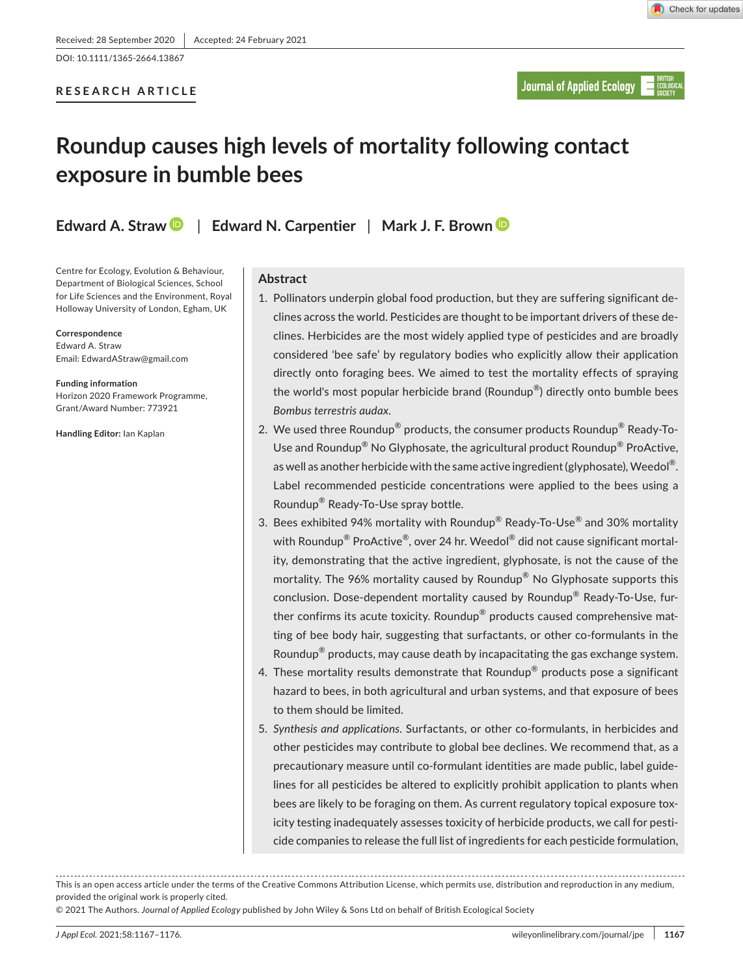# **RESEARCH ARTICLE**

# **Roundup causes high levels of mortality following contact exposure in bumble bees**

**Edward A. Straw** | **Edward N. Carpentier** | **Mark J. F. Brow[n](https://orcid.org/0000-0002-8887-3628)**

Centre for Ecology, Evolution & Behaviour, Department of Biological Sciences, School for Life Sciences and the Environment, Royal Holloway University of London, Egham, UK

**Correspondence** Edward A. Straw Email: [EdwardAStraw@gmail.com](mailto:EdwardAStraw@gmail.com)

**Funding information** Horizon 2020 Framework Programme, Grant/Award Number: 773921

**Handling Editor:** Ian Kaplan

## **Abstract**

- 1. Pollinators underpin global food production, but they are suffering significant declines across the world. Pesticides are thought to be important drivers of these declines. Herbicides are the most widely applied type of pesticides and are broadly considered 'bee safe' by regulatory bodies who explicitly allow their application directly onto foraging bees. We aimed to test the mortality effects of spraying the world's most popular herbicide brand (Roundup®) directly onto bumble bees *Bombus terrestris audax*.
- 2. We used three Roundup<sup>®</sup> products, the consumer products Roundup<sup>®</sup> Ready-To-Use and Roundup<sup>®</sup> No Glyphosate, the agricultural product Roundup<sup>®</sup> ProActive, as well as another herbicide with the same active ingredient (glyphosate), Weedol<sup>®</sup>. Label recommended pesticide concentrations were applied to the bees using a Roundup® Ready-To-Use spray bottle.
- 3. Bees exhibited 94% mortality with Roundup<sup>®</sup> Ready-To-Use<sup>®</sup> and 30% mortality with Roundup<sup>®</sup> ProActive<sup>®</sup>, over 24 hr. Weedol<sup>®</sup> did not cause significant mortality, demonstrating that the active ingredient, glyphosate, is not the cause of the mortality. The 96% mortality caused by Roundup® No Glyphosate supports this conclusion. Dose-dependent mortality caused by Roundup® Ready-To-Use, further confirms its acute toxicity. Roundup® products caused comprehensive matting of bee body hair, suggesting that surfactants, or other co-formulants in the Roundup<sup>®</sup> products, may cause death by incapacitating the gas exchange system.
- 4. These mortality results demonstrate that Roundup<sup>®</sup> products pose a significant hazard to bees, in both agricultural and urban systems, and that exposure of bees to them should be limited.
- 5. *Synthesis and applications*. Surfactants, or other co-formulants, in herbicides and other pesticides may contribute to global bee declines. We recommend that, as a precautionary measure until co-formulant identities are made public, label guidelines for all pesticides be altered to explicitly prohibit application to plants when bees are likely to be foraging on them. As current regulatory topical exposure toxicity testing inadequately assesses toxicity of herbicide products, we call for pesticide companies to release the full list of ingredients for each pesticide formulation,

This is an open access article under the terms of the [Creative Commons Attribution](http://creativecommons.org/licenses/by/4.0/) License, which permits use, distribution and reproduction in any medium, provided the original work is properly cited.

© 2021 The Authors. *Journal of Applied Ecology* published by John Wiley & Sons Ltd on behalf of British Ecological Society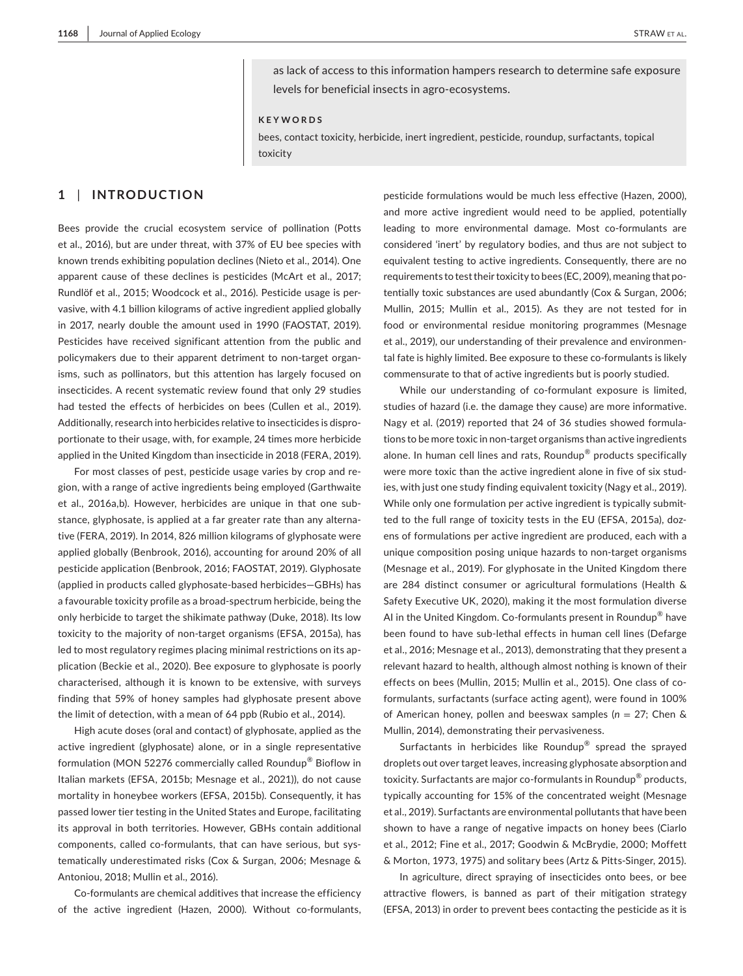as lack of access to this information hampers research to determine safe exposure levels for beneficial insects in agro-ecosystems.

#### **KEYWORDS**

bees, contact toxicity, herbicide, inert ingredient, pesticide, roundup, surfactants, topical toxicity

# **1** | **INTRODUCTION**

Bees provide the crucial ecosystem service of pollination (Potts et al., 2016), but are under threat, with 37% of EU bee species with known trends exhibiting population declines (Nieto et al., 2014). One apparent cause of these declines is pesticides (McArt et al., 2017; Rundlöf et al., 2015; Woodcock et al., 2016). Pesticide usage is pervasive, with 4.1 billion kilograms of active ingredient applied globally in 2017, nearly double the amount used in 1990 (FAOSTAT, 2019). Pesticides have received significant attention from the public and policymakers due to their apparent detriment to non-target organisms, such as pollinators, but this attention has largely focused on insecticides. A recent systematic review found that only 29 studies had tested the effects of herbicides on bees (Cullen et al., 2019). Additionally, research into herbicides relative to insecticides is disproportionate to their usage, with, for example, 24 times more herbicide applied in the United Kingdom than insecticide in 2018 (FERA, 2019).

For most classes of pest, pesticide usage varies by crop and region, with a range of active ingredients being employed (Garthwaite et al., 2016a,b). However, herbicides are unique in that one substance, glyphosate, is applied at a far greater rate than any alternative (FERA, 2019). In 2014, 826 million kilograms of glyphosate were applied globally (Benbrook, 2016), accounting for around 20% of all pesticide application (Benbrook, 2016; FAOSTAT, 2019). Glyphosate (applied in products called glyphosate-based herbicides—GBHs) has a favourable toxicity profile as a broad-spectrum herbicide, being the only herbicide to target the shikimate pathway (Duke, 2018). Its low toxicity to the majority of non-target organisms (EFSA, 2015a), has led to most regulatory regimes placing minimal restrictions on its application (Beckie et al., 2020). Bee exposure to glyphosate is poorly characterised, although it is known to be extensive, with surveys finding that 59% of honey samples had glyphosate present above the limit of detection, with a mean of 64 ppb (Rubio et al., 2014).

High acute doses (oral and contact) of glyphosate, applied as the active ingredient (glyphosate) alone, or in a single representative formulation (MON 52276 commercially called Roundup® Bioflow in Italian markets (EFSA, 2015b; Mesnage et al., 2021)), do not cause mortality in honeybee workers (EFSA, 2015b). Consequently, it has passed lower tier testing in the United States and Europe, facilitating its approval in both territories. However, GBHs contain additional components, called co-formulants, that can have serious, but systematically underestimated risks (Cox & Surgan, 2006; Mesnage & Antoniou, 2018; Mullin et al., 2016).

Co-formulants are chemical additives that increase the efficiency of the active ingredient (Hazen, 2000). Without co-formulants,

pesticide formulations would be much less effective (Hazen, 2000), and more active ingredient would need to be applied, potentially leading to more environmental damage. Most co-formulants are considered 'inert' by regulatory bodies, and thus are not subject to equivalent testing to active ingredients. Consequently, there are no requirements to test their toxicity to bees (EC, 2009), meaning that potentially toxic substances are used abundantly (Cox & Surgan, 2006; Mullin, 2015; Mullin et al., 2015). As they are not tested for in food or environmental residue monitoring programmes (Mesnage et al., 2019), our understanding of their prevalence and environmental fate is highly limited. Bee exposure to these co-formulants is likely commensurate to that of active ingredients but is poorly studied.

While our understanding of co-formulant exposure is limited, studies of hazard (i.e. the damage they cause) are more informative. Nagy et al. (2019) reported that 24 of 36 studies showed formulations to be more toxic in non-target organisms than active ingredients alone. In human cell lines and rats, Roundup® products specifically were more toxic than the active ingredient alone in five of six studies, with just one study finding equivalent toxicity (Nagy et al., 2019). While only one formulation per active ingredient is typically submitted to the full range of toxicity tests in the EU (EFSA, 2015a), dozens of formulations per active ingredient are produced, each with a unique composition posing unique hazards to non-target organisms (Mesnage et al., 2019). For glyphosate in the United Kingdom there are 284 distinct consumer or agricultural formulations (Health & Safety Executive UK, 2020), making it the most formulation diverse AI in the United Kingdom. Co-formulants present in Roundup<sup>®</sup> have been found to have sub-lethal effects in human cell lines (Defarge et al., 2016; Mesnage et al., 2013), demonstrating that they present a relevant hazard to health, although almost nothing is known of their effects on bees (Mullin, 2015; Mullin et al., 2015). One class of coformulants, surfactants (surface acting agent), were found in 100% of American honey, pollen and beeswax samples (*n* = 27; Chen & Mullin, 2014), demonstrating their pervasiveness.

Surfactants in herbicides like Roundup® spread the sprayed droplets out over target leaves, increasing glyphosate absorption and toxicity. Surfactants are major co-formulants in Roundup® products, typically accounting for 15% of the concentrated weight (Mesnage et al., 2019). Surfactants are environmental pollutants that have been shown to have a range of negative impacts on honey bees (Ciarlo et al., 2012; Fine et al., 2017; Goodwin & McBrydie, 2000; Moffett & Morton, 1973, 1975) and solitary bees (Artz & Pitts-Singer, 2015).

In agriculture, direct spraying of insecticides onto bees, or bee attractive flowers, is banned as part of their mitigation strategy (EFSA, 2013) in order to prevent bees contacting the pesticide as it is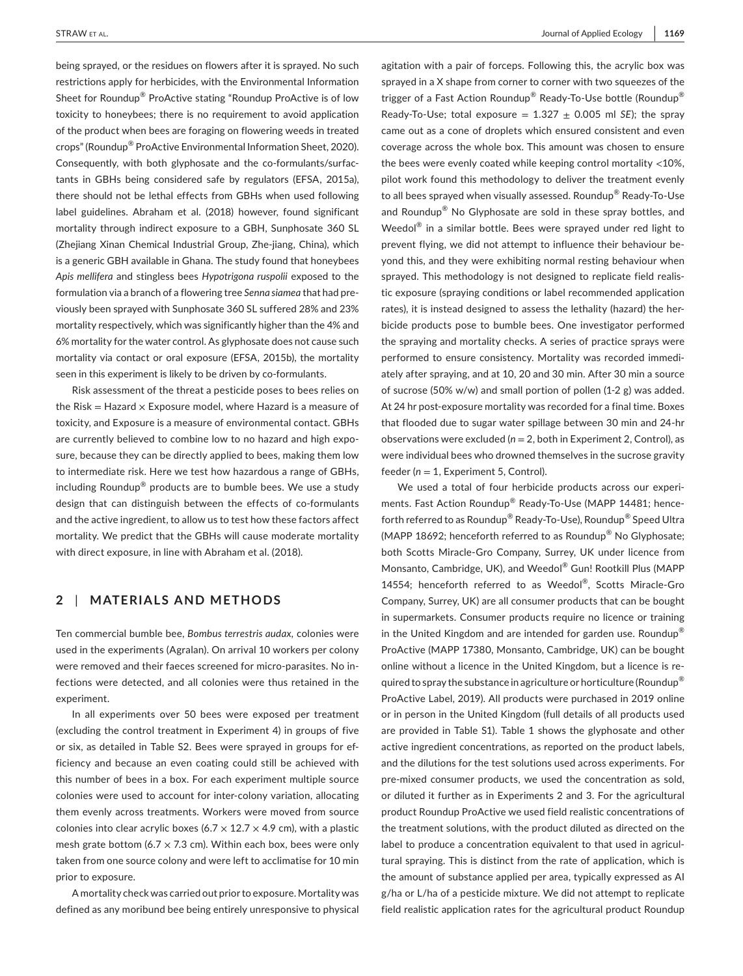being sprayed, or the residues on flowers after it is sprayed. No such restrictions apply for herbicides, with the Environmental Information Sheet for Roundup® ProActive stating "Roundup ProActive is of low toxicity to honeybees; there is no requirement to avoid application of the product when bees are foraging on flowering weeds in treated crops" (Roundup® ProActive Environmental Information Sheet, 2020). Consequently, with both glyphosate and the co-formulants/surfactants in GBHs being considered safe by regulators (EFSA, 2015a), there should not be lethal effects from GBHs when used following label guidelines. Abraham et al. (2018) however, found significant mortality through indirect exposure to a GBH, Sunphosate 360 SL (Zhejiang Xinan Chemical Industrial Group, Zhe-jiang, China), which is a generic GBH available in Ghana. The study found that honeybees *Apis mellifera* and stingless bees *Hypotrigona ruspolii* exposed to the formulation via a branch of a flowering tree *Senna siamea* that had previously been sprayed with Sunphosate 360 SL suffered 28% and 23% mortality respectively, which was significantly higher than the 4% and 6% mortality for the water control. As glyphosate does not cause such mortality via contact or oral exposure (EFSA, 2015b), the mortality seen in this experiment is likely to be driven by co-formulants.

Risk assessment of the threat a pesticide poses to bees relies on the Risk = Hazard  $\times$  Exposure model, where Hazard is a measure of toxicity, and Exposure is a measure of environmental contact. GBHs are currently believed to combine low to no hazard and high exposure, because they can be directly applied to bees, making them low to intermediate risk. Here we test how hazardous a range of GBHs, including Roundup® products are to bumble bees. We use a study design that can distinguish between the effects of co-formulants and the active ingredient, to allow us to test how these factors affect mortality. We predict that the GBHs will cause moderate mortality with direct exposure, in line with Abraham et al. (2018).

# **2** | **MATERIALS AND METHODS**

Ten commercial bumble bee, *Bombus terrestris audax,* colonies were used in the experiments (Agralan). On arrival 10 workers per colony were removed and their faeces screened for micro-parasites. No infections were detected, and all colonies were thus retained in the experiment.

In all experiments over 50 bees were exposed per treatment (excluding the control treatment in Experiment 4) in groups of five or six, as detailed in Table S2. Bees were sprayed in groups for efficiency and because an even coating could still be achieved with this number of bees in a box. For each experiment multiple source colonies were used to account for inter-colony variation, allocating them evenly across treatments. Workers were moved from source colonies into clear acrylic boxes (6.7  $\times$  12.7  $\times$  4.9 cm), with a plastic mesh grate bottom (6.7  $\times$  7.3 cm). Within each box, bees were only taken from one source colony and were left to acclimatise for 10 min prior to exposure.

A mortality check was carried out prior to exposure. Mortality was defined as any moribund bee being entirely unresponsive to physical agitation with a pair of forceps. Following this, the acrylic box was sprayed in a X shape from corner to corner with two squeezes of the trigger of a Fast Action Roundup<sup>®</sup> Ready-To-Use bottle (Roundup<sup>®</sup> Ready-To-Use; total exposure  $= 1.327 + 0.005$  ml *SE*); the spray came out as a cone of droplets which ensured consistent and even coverage across the whole box. This amount was chosen to ensure the bees were evenly coated while keeping control mortality <10%, pilot work found this methodology to deliver the treatment evenly to all bees sprayed when visually assessed. Roundup® Ready-To-Use and Roundup® No Glyphosate are sold in these spray bottles, and Weedol® in a similar bottle. Bees were sprayed under red light to prevent flying, we did not attempt to influence their behaviour beyond this, and they were exhibiting normal resting behaviour when sprayed. This methodology is not designed to replicate field realistic exposure (spraying conditions or label recommended application rates), it is instead designed to assess the lethality (hazard) the herbicide products pose to bumble bees. One investigator performed the spraying and mortality checks. A series of practice sprays were performed to ensure consistency. Mortality was recorded immediately after spraying, and at 10, 20 and 30 min. After 30 min a source of sucrose (50% w/w) and small portion of pollen (1-2 g) was added. At 24 hr post-exposure mortality was recorded for a final time. Boxes that flooded due to sugar water spillage between 30 min and 24-hr observations were excluded (*n* = 2, both in Experiment 2, Control), as were individual bees who drowned themselves in the sucrose gravity feeder ( $n = 1$ , Experiment 5, Control).

We used a total of four herbicide products across our experiments. Fast Action Roundup® Ready-To-Use (MAPP 14481; henceforth referred to as Roundup® Ready-To-Use), Roundup® Speed Ultra (MAPP 18692; henceforth referred to as Roundup® No Glyphosate; both Scotts Miracle-Gro Company, Surrey, UK under licence from Monsanto, Cambridge, UK), and Weedol® Gun! Rootkill Plus (MAPP 14554; henceforth referred to as Weedol®, Scotts Miracle-Gro Company, Surrey, UK) are all consumer products that can be bought in supermarkets. Consumer products require no licence or training in the United Kingdom and are intended for garden use. Roundup<sup>®</sup> ProActive (MAPP 17380, Monsanto, Cambridge, UK) can be bought online without a licence in the United Kingdom, but a licence is required to spray the substance in agriculture or horticulture (Roundup<sup>®</sup> ProActive Label, 2019). All products were purchased in 2019 online or in person in the United Kingdom (full details of all products used are provided in Table S1). Table 1 shows the glyphosate and other active ingredient concentrations, as reported on the product labels, and the dilutions for the test solutions used across experiments. For pre-mixed consumer products, we used the concentration as sold, or diluted it further as in Experiments 2 and 3. For the agricultural product Roundup ProActive we used field realistic concentrations of the treatment solutions, with the product diluted as directed on the label to produce a concentration equivalent to that used in agricultural spraying. This is distinct from the rate of application, which is the amount of substance applied per area, typically expressed as AI g/ha or L/ha of a pesticide mixture. We did not attempt to replicate field realistic application rates for the agricultural product Roundup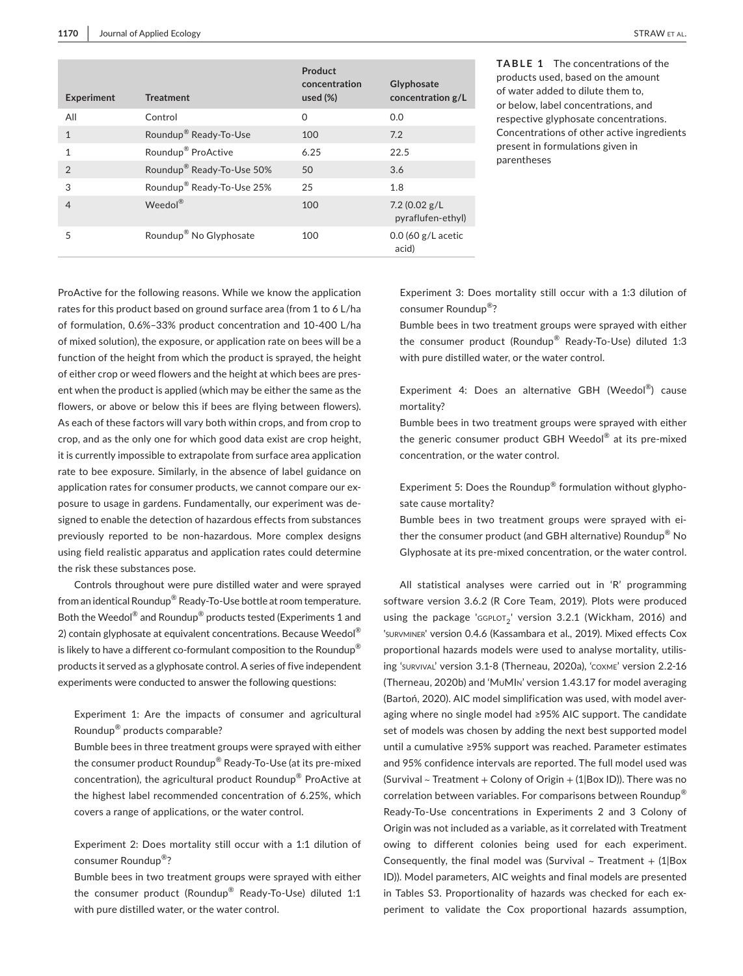| <b>Experiment</b> | <b>Treatment</b>                      | Product<br>concentration<br>used $(\%)$ | Glyphosate<br>concentration g/L    |
|-------------------|---------------------------------------|-----------------------------------------|------------------------------------|
| All               | Control                               | $\Omega$                                | 0.0                                |
| $\mathbf{1}$      | Roundup <sup>®</sup> Ready-To-Use     | 100                                     | 7.2                                |
| 1                 | Roundup <sup>®</sup> ProActive        | 6.25                                    | 22.5                               |
| $\mathfrak{D}$    | Roundup <sup>®</sup> Ready-To-Use 50% | 50                                      | 3.6                                |
| 3                 | Roundup <sup>®</sup> Ready-To-Use 25% | 25                                      | 1.8                                |
| $\overline{4}$    | Weedol®                               | 100                                     | 7.2(0.02 g/L)<br>pyraflufen-ethyl) |
| 5                 | Roundup <sup>®</sup> No Glyphosate    | 100                                     | $0.0$ (60 g/L acetic<br>acid)      |

**TABLE 1** The concentrations of the products used, based on the amount of water added to dilute them to, or below, label concentrations, and respective glyphosate concentrations. Concentrations of other active ingredients present in formulations given in parentheses

ProActive for the following reasons. While we know the application rates for this product based on ground surface area (from 1 to 6 L/ha of formulation, 0.6%–33% product concentration and 10-400 L/ha of mixed solution), the exposure, or application rate on bees will be a function of the height from which the product is sprayed, the height of either crop or weed flowers and the height at which bees are present when the product is applied (which may be either the same as the flowers, or above or below this if bees are flying between flowers). As each of these factors will vary both within crops, and from crop to crop, and as the only one for which good data exist are crop height, it is currently impossible to extrapolate from surface area application rate to bee exposure. Similarly, in the absence of label guidance on application rates for consumer products, we cannot compare our exposure to usage in gardens. Fundamentally, our experiment was designed to enable the detection of hazardous effects from substances previously reported to be non-hazardous. More complex designs using field realistic apparatus and application rates could determine the risk these substances pose.

Controls throughout were pure distilled water and were sprayed from an identical Roundup® Ready-To-Use bottle at room temperature. Both the Weedol® and Roundup® products tested (Experiments 1 and 2) contain glyphosate at equivalent concentrations. Because Weedol<sup>®</sup> is likely to have a different co-formulant composition to the Roundup $^{\circledR}$ products it served as a glyphosate control. A series of five independent experiments were conducted to answer the following questions:

Experiment 1: Are the impacts of consumer and agricultural Roundup® products comparable?

Bumble bees in three treatment groups were sprayed with either the consumer product Roundup® Ready-To-Use (at its pre-mixed concentration), the agricultural product Roundup® ProActive at the highest label recommended concentration of 6.25%, which covers a range of applications, or the water control.

Experiment 2: Does mortality still occur with a 1:1 dilution of consumer Roundup®?

Bumble bees in two treatment groups were sprayed with either the consumer product (Roundup® Ready-To-Use) diluted 1:1 with pure distilled water, or the water control.

Experiment 3: Does mortality still occur with a 1:3 dilution of consumer Roundup®?

Bumble bees in two treatment groups were sprayed with either the consumer product (Roundup® Ready-To-Use) diluted 1:3 with pure distilled water, or the water control.

Experiment 4: Does an alternative GBH (Weedol®) cause mortality?

Bumble bees in two treatment groups were sprayed with either the generic consumer product GBH Weedol® at its pre-mixed concentration, or the water control.

Experiment 5: Does the Roundup® formulation without glyphosate cause mortality?

Bumble bees in two treatment groups were sprayed with either the consumer product (and GBH alternative) Roundup® No Glyphosate at its pre-mixed concentration, or the water control.

All statistical analyses were carried out in 'R' programming software version 3.6.2 (R Core Team, 2019). Plots were produced using the package 'GGPLOT<sub>2</sub>' version 3.2.1 (Wickham, 2016) and 'survminer' version 0.4.6 (Kassambara et al., 2019). Mixed effects Cox proportional hazards models were used to analyse mortality, utilising 'survival' version 3.1-8 (Therneau, 2020a), 'coxme' version 2.2-16 (Therneau, 2020b) and 'MuMIn' version 1.43.17 for model averaging (Bartoń, 2020). AIC model simplification was used, with model averaging where no single model had ≥95% AIC support. The candidate set of models was chosen by adding the next best supported model until a cumulative ≥95% support was reached. Parameter estimates and 95% confidence intervals are reported. The full model used was (Survival  $\sim$  Treatment + Colony of Origin + (1|Box ID)). There was no correlation between variables. For comparisons between Roundup® Ready-To-Use concentrations in Experiments 2 and 3 Colony of Origin was not included as a variable, as it correlated with Treatment owing to different colonies being used for each experiment. Consequently, the final model was (Survival  $\sim$  Treatment + (1|Box ID)). Model parameters, AIC weights and final models are presented in Tables S3. Proportionality of hazards was checked for each experiment to validate the Cox proportional hazards assumption,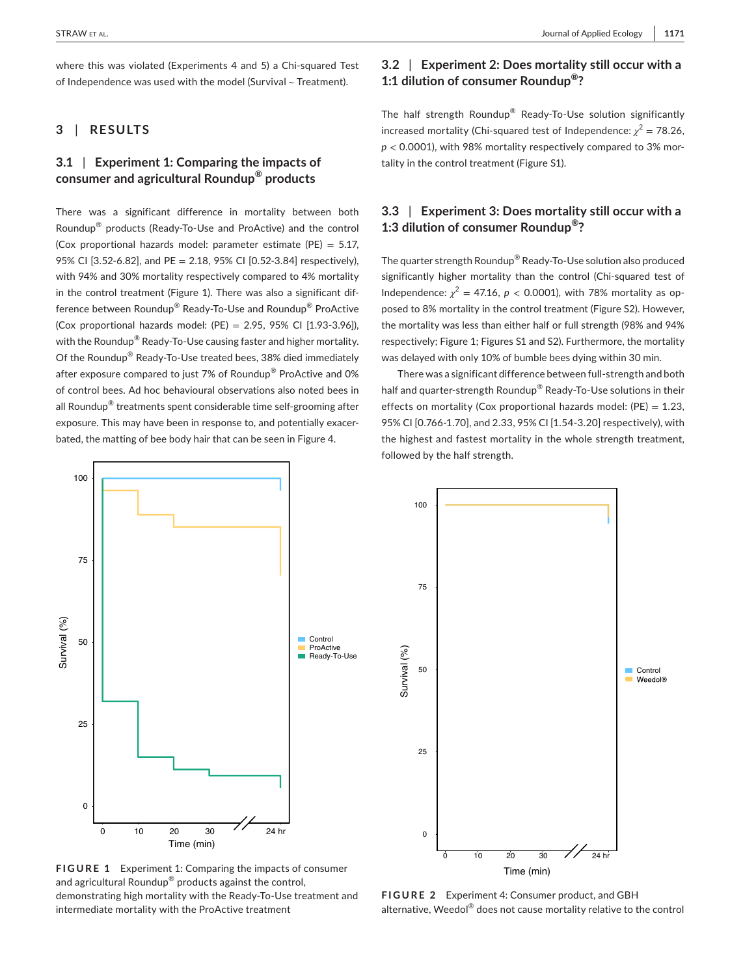where this was violated (Experiments 4 and 5) a Chi-squared Test of Independence was used with the model (Survival ~ Treatment).

## **3** | **RESULTS**

# **3.1** | **Experiment 1: Comparing the impacts of consumer and agricultural Roundup® products**

There was a significant difference in mortality between both Roundup® products (Ready-To-Use and ProActive) and the control (Cox proportional hazards model: parameter estimate (PE) =  $5.17$ , 95% CI [3.52-6.82], and PE = 2.18, 95% CI [0.52-3.84] respectively), with 94% and 30% mortality respectively compared to 4% mortality in the control treatment (Figure 1). There was also a significant difference between Roundup® Ready-To-Use and Roundup® ProActive (Cox proportional hazards model:  $(PE) = 2.95, 95\%$  CI  $[1.93-3.96]$ ), with the Roundup<sup>®</sup> Ready-To-Use causing faster and higher mortality. Of the Roundup® Ready-To-Use treated bees, 38% died immediately after exposure compared to just 7% of Roundup® ProActive and 0% of control bees. Ad hoc behavioural observations also noted bees in all Roundup<sup>®</sup> treatments spent considerable time self-grooming after exposure. This may have been in response to, and potentially exacerbated, the matting of bee body hair that can be seen in Figure 4.

# **3.2** | **Experiment 2: Does mortality still occur with a 1:1 dilution of consumer Roundup®?**

The half strength Roundup® Ready-To-Use solution significantly increased mortality (Chi-squared test of Independence:  $\chi^2$  = 78.26,  $p < 0.0001$ ), with 98% mortality respectively compared to 3% mortality in the control treatment (Figure S1).

# **3.3** | **Experiment 3: Does mortality still occur with a 1:3 dilution of consumer Roundup®?**

The quarter strength Roundup® Ready-To-Use solution also produced significantly higher mortality than the control (Chi-squared test of Independence:  $\chi^2 = 47.16$ ,  $p < 0.0001$ ), with 78% mortality as opposed to 8% mortality in the control treatment (Figure S2). However, the mortality was less than either half or full strength (98% and 94% respectively; Figure 1; Figures S1 and S2). Furthermore, the mortality was delayed with only 10% of bumble bees dying within 30 min.

There was a significant difference between full-strength and both half and quarter-strength Roundup<sup>®</sup> Ready-To-Use solutions in their effects on mortality (Cox proportional hazards model:  $(PE) = 1.23$ , 95% CI [0.766-1.70], and 2.33, 95% CI [1.54-3.20] respectively), with the highest and fastest mortality in the whole strength treatment, followed by the half strength.



**FIGURE 1** Experiment 1: Comparing the impacts of consumer and agricultural Roundup® products against the control, demonstrating high mortality with the Ready-To-Use treatment and intermediate mortality with the ProActive treatment



Time (min)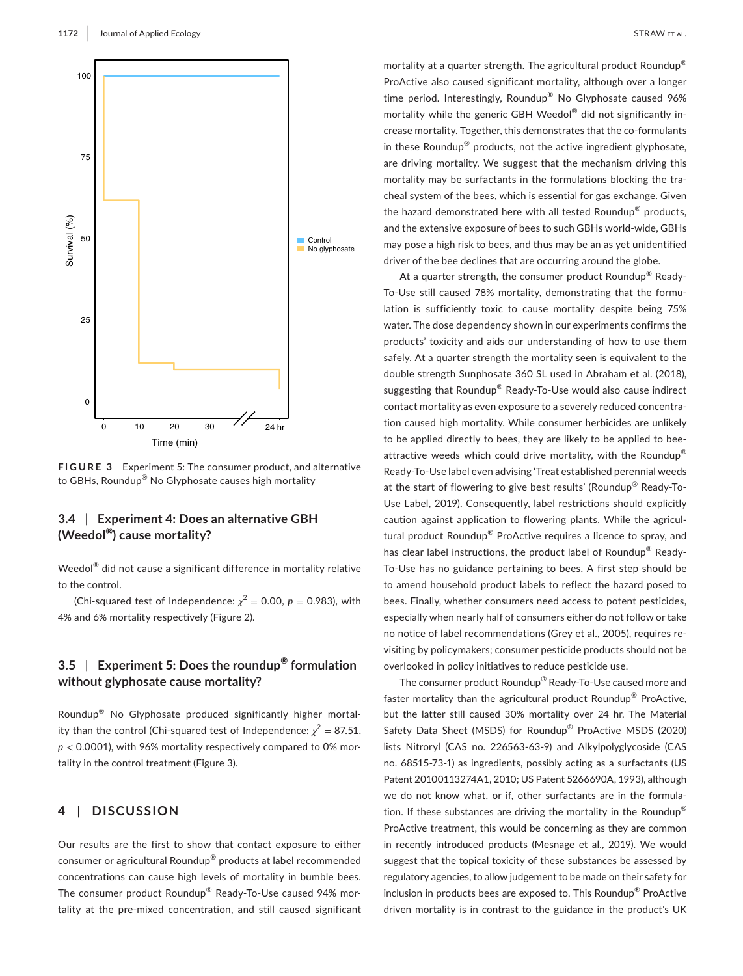

**FIGURE 3** Experiment 5: The consumer product, and alternative to GBHs, Roundup® No Glyphosate causes high mortality

# **3.4** | **Experiment 4: Does an alternative GBH (Weedol®) cause mortality?**

Time (min)

Weedol<sup>®</sup> did not cause a significant difference in mortality relative to the control.

(Chi-squared test of Independence:  $\chi^2 = 0.00$ ,  $p = 0.983$ ), with 4% and 6% mortality respectively (Figure 2).

# **3.5** | **Experiment 5: Does the roundup® formulation without glyphosate cause mortality?**

Roundup® No Glyphosate produced significantly higher mortality than the control (Chi-squared test of Independence:  $\chi^2 = 87.51$ , *p* < 0.0001), with 96% mortality respectively compared to 0% mortality in the control treatment (Figure 3).

# **4** | **DISCUSSION**

Our results are the first to show that contact exposure to either consumer or agricultural Roundup® products at label recommended concentrations can cause high levels of mortality in bumble bees. The consumer product Roundup® Ready-To-Use caused 94% mortality at the pre-mixed concentration, and still caused significant mortality at a quarter strength. The agricultural product Roundup® ProActive also caused significant mortality, although over a longer time period. Interestingly, Roundup® No Glyphosate caused 96% mortality while the generic GBH Weedol® did not significantly increase mortality. Together, this demonstrates that the co-formulants in these Roundup® products, not the active ingredient glyphosate, are driving mortality. We suggest that the mechanism driving this mortality may be surfactants in the formulations blocking the tracheal system of the bees, which is essential for gas exchange. Given the hazard demonstrated here with all tested Roundup<sup>®</sup> products, and the extensive exposure of bees to such GBHs world-wide, GBHs may pose a high risk to bees, and thus may be an as yet unidentified driver of the bee declines that are occurring around the globe.

At a quarter strength, the consumer product Roundup<sup>®</sup> Ready-To-Use still caused 78% mortality, demonstrating that the formulation is sufficiently toxic to cause mortality despite being 75% water. The dose dependency shown in our experiments confirms the products' toxicity and aids our understanding of how to use them safely. At a quarter strength the mortality seen is equivalent to the double strength Sunphosate 360 SL used in Abraham et al. (2018), suggesting that Roundup® Ready-To-Use would also cause indirect contact mortality as even exposure to a severely reduced concentration caused high mortality. While consumer herbicides are unlikely to be applied directly to bees, they are likely to be applied to beeattractive weeds which could drive mortality, with the Roundup® Ready-To-Use label even advising 'Treat established perennial weeds at the start of flowering to give best results' (Roundup<sup>®</sup> Ready-To-Use Label, 2019). Consequently, label restrictions should explicitly caution against application to flowering plants. While the agricultural product Roundup® ProActive requires a licence to spray, and has clear label instructions, the product label of Roundup® Ready-To-Use has no guidance pertaining to bees. A first step should be to amend household product labels to reflect the hazard posed to bees. Finally, whether consumers need access to potent pesticides, especially when nearly half of consumers either do not follow or take no notice of label recommendations (Grey et al., 2005), requires revisiting by policymakers; consumer pesticide products should not be overlooked in policy initiatives to reduce pesticide use.

The consumer product Roundup® Ready-To-Use caused more and faster mortality than the agricultural product Roundup® ProActive, but the latter still caused 30% mortality over 24 hr. The Material Safety Data Sheet (MSDS) for Roundup® ProActive MSDS (2020) lists Nitroryl (CAS no. 226563-63-9) and Alkylpolyglycoside (CAS no. 68515-73-1) as ingredients, possibly acting as a surfactants (US Patent 20100113274A1, 2010; US Patent 5266690A, 1993), although we do not know what, or if, other surfactants are in the formulation. If these substances are driving the mortality in the Roundup $^{\circledR}$ ProActive treatment, this would be concerning as they are common in recently introduced products (Mesnage et al., 2019). We would suggest that the topical toxicity of these substances be assessed by regulatory agencies, to allow judgement to be made on their safety for inclusion in products bees are exposed to. This Roundup® ProActive driven mortality is in contrast to the guidance in the product's UK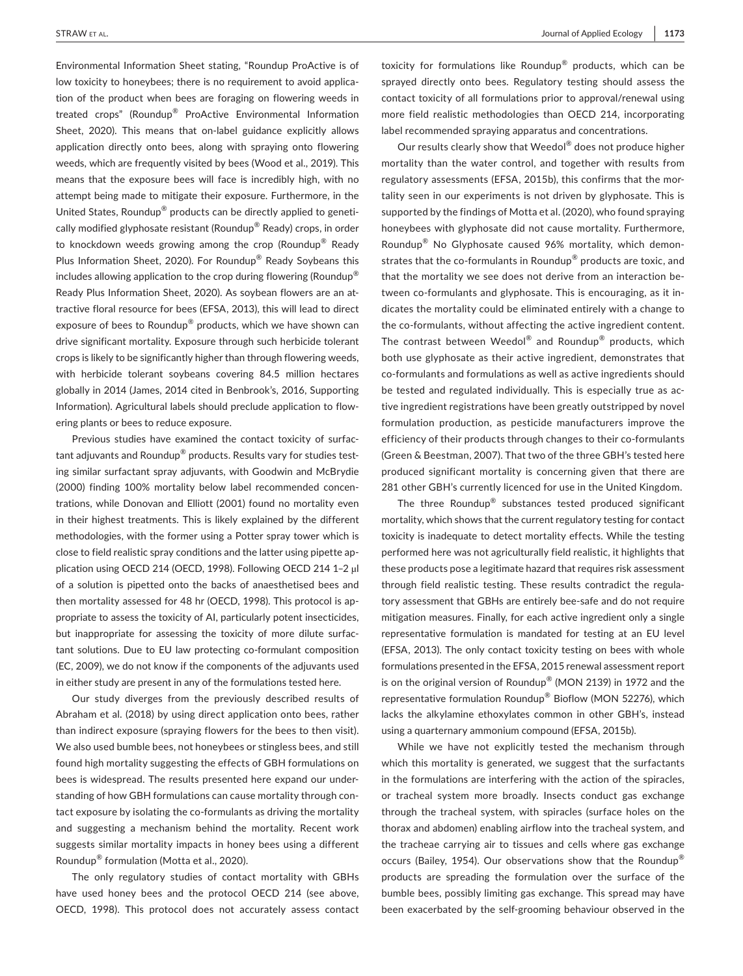Environmental Information Sheet stating, "Roundup ProActive is of low toxicity to honeybees; there is no requirement to avoid application of the product when bees are foraging on flowering weeds in treated crops" (Roundup® ProActive Environmental Information Sheet, 2020). This means that on-label guidance explicitly allows application directly onto bees, along with spraying onto flowering weeds, which are frequently visited by bees (Wood et al., 2019). This means that the exposure bees will face is incredibly high, with no attempt being made to mitigate their exposure. Furthermore, in the United States, Roundup® products can be directly applied to genetically modified glyphosate resistant (Roundup® Ready) crops, in order to knockdown weeds growing among the crop (Roundup® Ready Plus Information Sheet, 2020). For Roundup® Ready Soybeans this includes allowing application to the crop during flowering (Roundup<sup>®</sup> Ready Plus Information Sheet, 2020). As soybean flowers are an attractive floral resource for bees (EFSA, 2013), this will lead to direct exposure of bees to Roundup® products, which we have shown can drive significant mortality. Exposure through such herbicide tolerant crops is likely to be significantly higher than through flowering weeds, with herbicide tolerant soybeans covering 84.5 million hectares globally in 2014 (James, 2014 cited in Benbrook's, 2016, Supporting Information). Agricultural labels should preclude application to flowering plants or bees to reduce exposure.

Previous studies have examined the contact toxicity of surfactant adjuvants and Roundup® products. Results vary for studies testing similar surfactant spray adjuvants, with Goodwin and McBrydie (2000) finding 100% mortality below label recommended concentrations, while Donovan and Elliott (2001) found no mortality even in their highest treatments. This is likely explained by the different methodologies, with the former using a Potter spray tower which is close to field realistic spray conditions and the latter using pipette application using OECD 214 (OECD, 1998). Following OECD 214 1–2 µl of a solution is pipetted onto the backs of anaesthetised bees and then mortality assessed for 48 hr (OECD, 1998). This protocol is appropriate to assess the toxicity of AI, particularly potent insecticides, but inappropriate for assessing the toxicity of more dilute surfactant solutions. Due to EU law protecting co-formulant composition (EC, 2009), we do not know if the components of the adjuvants used in either study are present in any of the formulations tested here.

Our study diverges from the previously described results of Abraham et al. (2018) by using direct application onto bees, rather than indirect exposure (spraying flowers for the bees to then visit). We also used bumble bees, not honeybees or stingless bees, and still found high mortality suggesting the effects of GBH formulations on bees is widespread. The results presented here expand our understanding of how GBH formulations can cause mortality through contact exposure by isolating the co-formulants as driving the mortality and suggesting a mechanism behind the mortality. Recent work suggests similar mortality impacts in honey bees using a different Roundup® formulation (Motta et al., 2020).

The only regulatory studies of contact mortality with GBHs have used honey bees and the protocol OECD 214 (see above, OECD, 1998). This protocol does not accurately assess contact toxicity for formulations like Roundup® products, which can be sprayed directly onto bees. Regulatory testing should assess the contact toxicity of all formulations prior to approval/renewal using more field realistic methodologies than OECD 214, incorporating label recommended spraying apparatus and concentrations.

Our results clearly show that Weedol® does not produce higher mortality than the water control, and together with results from regulatory assessments (EFSA, 2015b), this confirms that the mortality seen in our experiments is not driven by glyphosate. This is supported by the findings of Motta et al. (2020), who found spraying honeybees with glyphosate did not cause mortality. Furthermore, Roundup® No Glyphosate caused 96% mortality, which demonstrates that the co-formulants in Roundup® products are toxic, and that the mortality we see does not derive from an interaction between co-formulants and glyphosate. This is encouraging, as it indicates the mortality could be eliminated entirely with a change to the co-formulants, without affecting the active ingredient content. The contrast between Weedol® and Roundup® products, which both use glyphosate as their active ingredient, demonstrates that co-formulants and formulations as well as active ingredients should be tested and regulated individually. This is especially true as active ingredient registrations have been greatly outstripped by novel formulation production, as pesticide manufacturers improve the efficiency of their products through changes to their co-formulants (Green & Beestman, 2007). That two of the three GBH's tested here produced significant mortality is concerning given that there are 281 other GBH's currently licenced for use in the United Kingdom.

The three Roundup® substances tested produced significant mortality, which shows that the current regulatory testing for contact toxicity is inadequate to detect mortality effects. While the testing performed here was not agriculturally field realistic, it highlights that these products pose a legitimate hazard that requires risk assessment through field realistic testing. These results contradict the regulatory assessment that GBHs are entirely bee-safe and do not require mitigation measures. Finally, for each active ingredient only a single representative formulation is mandated for testing at an EU level (EFSA, 2013). The only contact toxicity testing on bees with whole formulations presented in the EFSA, 2015 renewal assessment report is on the original version of Roundup® (MON 2139) in 1972 and the representative formulation Roundup® Bioflow (MON 52276), which lacks the alkylamine ethoxylates common in other GBH's, instead using a quarternary ammonium compound (EFSA, 2015b).

While we have not explicitly tested the mechanism through which this mortality is generated, we suggest that the surfactants in the formulations are interfering with the action of the spiracles, or tracheal system more broadly. Insects conduct gas exchange through the tracheal system, with spiracles (surface holes on the thorax and abdomen) enabling airflow into the tracheal system, and the tracheae carrying air to tissues and cells where gas exchange occurs (Bailey, 1954). Our observations show that the Roundup® products are spreading the formulation over the surface of the bumble bees, possibly limiting gas exchange. This spread may have been exacerbated by the self-grooming behaviour observed in the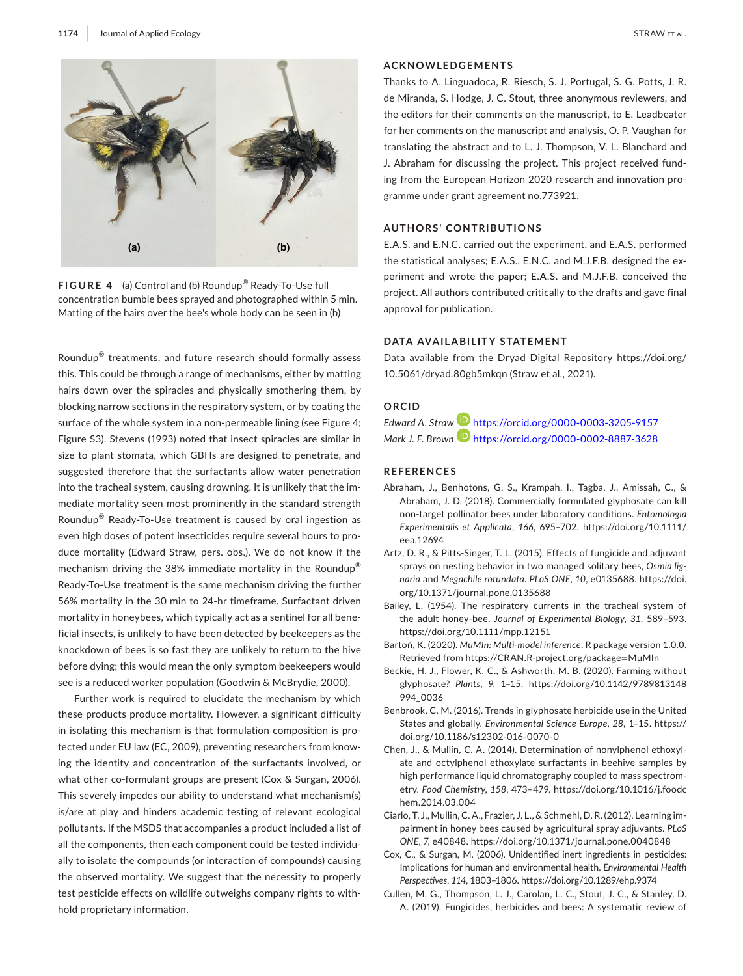

**FIGURE 4** (a) Control and (b) Roundup® Ready-To-Use full concentration bumble bees sprayed and photographed within 5 min. Matting of the hairs over the bee's whole body can be seen in (b)

Roundup® treatments, and future research should formally assess this. This could be through a range of mechanisms, either by matting hairs down over the spiracles and physically smothering them, by blocking narrow sections in the respiratory system, or by coating the surface of the whole system in a non-permeable lining (see Figure 4; Figure S3). Stevens (1993) noted that insect spiracles are similar in size to plant stomata, which GBHs are designed to penetrate, and suggested therefore that the surfactants allow water penetration into the tracheal system, causing drowning. It is unlikely that the immediate mortality seen most prominently in the standard strength Roundup® Ready-To-Use treatment is caused by oral ingestion as even high doses of potent insecticides require several hours to produce mortality (Edward Straw, pers. obs.). We do not know if the mechanism driving the 38% immediate mortality in the Roundup<sup>®</sup> Ready-To-Use treatment is the same mechanism driving the further 56% mortality in the 30 min to 24-hr timeframe. Surfactant driven mortality in honeybees, which typically act as a sentinel for all beneficial insects, is unlikely to have been detected by beekeepers as the knockdown of bees is so fast they are unlikely to return to the hive before dying; this would mean the only symptom beekeepers would see is a reduced worker population (Goodwin & McBrydie, 2000).

Further work is required to elucidate the mechanism by which these products produce mortality. However, a significant difficulty in isolating this mechanism is that formulation composition is protected under EU law (EC, 2009), preventing researchers from knowing the identity and concentration of the surfactants involved, or what other co-formulant groups are present (Cox & Surgan, 2006). This severely impedes our ability to understand what mechanism(s) is/are at play and hinders academic testing of relevant ecological pollutants. If the MSDS that accompanies a product included a list of all the components, then each component could be tested individually to isolate the compounds (or interaction of compounds) causing the observed mortality. We suggest that the necessity to properly test pesticide effects on wildlife outweighs company rights to withhold proprietary information.

## **ACKNOWLEDGEMENTS**

Thanks to A. Linguadoca, R. Riesch, S. J. Portugal, S. G. Potts, J. R. de Miranda, S. Hodge, J. C. Stout, three anonymous reviewers, and the editors for their comments on the manuscript, to E. Leadbeater for her comments on the manuscript and analysis, O. P. Vaughan for translating the abstract and to L. J. Thompson, V. L. Blanchard and J. Abraham for discussing the project. This project received funding from the European Horizon 2020 research and innovation programme under grant agreement no.773921.

#### **AUTHORS' CONTRIBUTIONS**

E.A.S. and E.N.C. carried out the experiment, and E.A.S. performed the statistical analyses; E.A.S., E.N.C. and M.J.F.B. designed the experiment and wrote the paper; E.A.S. and M.J.F.B. conceived the project. All authors contributed critically to the drafts and gave final approval for publication.

#### **DATA AVAILABILITY STATEMENT**

Data available from the Dryad Digital Repository [https://doi.org/](https://doi.org/10.5061/dryad.80gb5mkqn) [10.5061/dryad.80gb5mkqn](https://doi.org/10.5061/dryad.80gb5mkqn) (Straw et al., 2021).

## **ORCID**

*Edward A. Straw* <https://orcid.org/0000-0003-3205-9157> *Mark J. F. Brown* <https://orcid.org/0000-0002-8887-3628>

## **REFERENCES**

- Abraham, J., Benhotons, G. S., Krampah, I., Tagba, J., Amissah, C., & Abraham, J. D. (2018). Commercially formulated glyphosate can kill non-target pollinator bees under laboratory conditions. *Entomologia Experimentalis et Applicata*, *166*, 695–702. [https://doi.org/10.1111/](https://doi.org/10.1111/eea.12694) [eea.12694](https://doi.org/10.1111/eea.12694)
- Artz, D. R., & Pitts-Singer, T. L. (2015). Effects of fungicide and adjuvant sprays on nesting behavior in two managed solitary bees, *Osmia lignaria* and *Megachile rotundata*. *PLoS ONE*, *10*, e0135688. [https://doi.](https://doi.org/10.1371/journal.pone.0135688) [org/10.1371/journal.pone.0135688](https://doi.org/10.1371/journal.pone.0135688)
- Bailey, L. (1954). The respiratory currents in the tracheal system of the adult honey-bee. *Journal of Experimental Biology*, *31*, 589–593. <https://doi.org/10.1111/mpp.12151>
- Bartoń, K. (2020). *MuMIn: Multi-model inference*. R package version 1.0.0. Retrieved from [https://CRAN.R-project.org/package](https://CRAN.R-project.org/package=MuMIn)=MuMIn
- Beckie, H. J., Flower, K. C., & Ashworth, M. B. (2020). Farming without glyphosate? *Plants*, *9*, 1–15. [https://doi.org/10.1142/9789813148](https://doi.org/10.1142/9789813148994_0036) [994\\_0036](https://doi.org/10.1142/9789813148994_0036)
- Benbrook, C. M. (2016). Trends in glyphosate herbicide use in the United States and globally. *Environmental Science Europe*, *28*, 1–15. [https://](https://doi.org/10.1186/s12302-016-0070-0) [doi.org/10.1186/s12302-016-0070-0](https://doi.org/10.1186/s12302-016-0070-0)
- Chen, J., & Mullin, C. A. (2014). Determination of nonylphenol ethoxylate and octylphenol ethoxylate surfactants in beehive samples by high performance liquid chromatography coupled to mass spectrometry. *Food Chemistry*, *158*, 473–479. [https://doi.org/10.1016/j.foodc](https://doi.org/10.1016/j.foodchem.2014.03.004) [hem.2014.03.004](https://doi.org/10.1016/j.foodchem.2014.03.004)
- Ciarlo, T. J., Mullin, C. A., Frazier, J. L., & Schmehl, D. R. (2012). Learning impairment in honey bees caused by agricultural spray adjuvants. *PLoS ONE*, *7*, e40848.<https://doi.org/10.1371/journal.pone.0040848>
- Cox, C., & Surgan, M. (2006). Unidentified inert ingredients in pesticides: Implications for human and environmental health. *Environmental Health Perspectives*, *114*, 1803–1806. <https://doi.org/10.1289/ehp.9374>
- Cullen, M. G., Thompson, L. J., Carolan, L. C., Stout, J. C., & Stanley, D. A. (2019). Fungicides, herbicides and bees: A systematic review of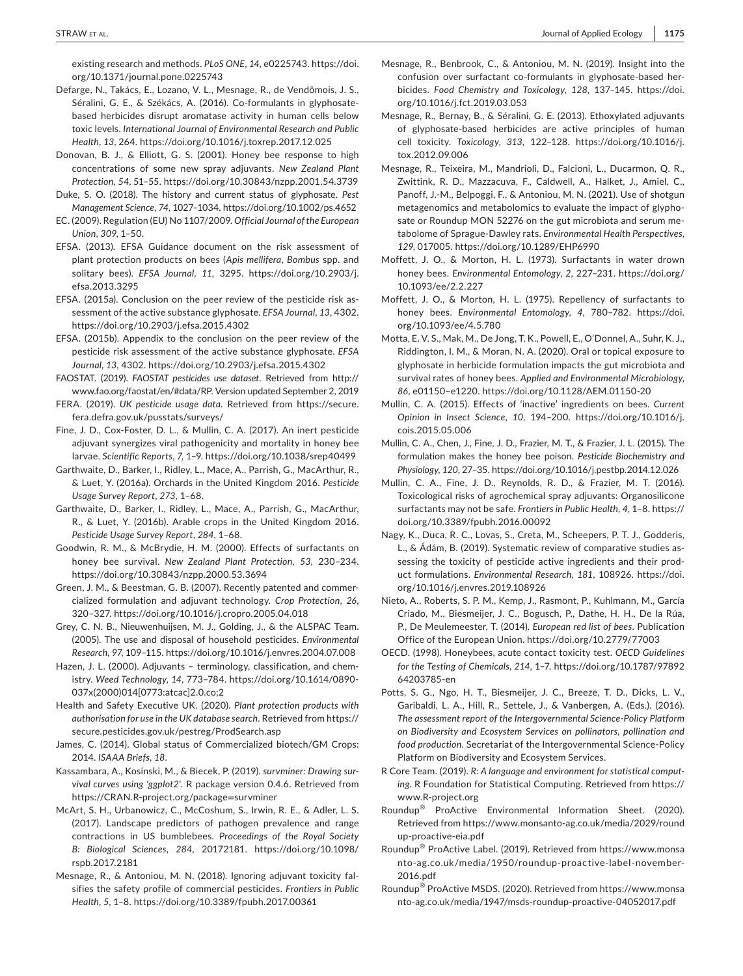existing research and methods. *PLoS ONE*, *14*, e0225743. [https://doi.](https://doi.org/10.1371/journal.pone.0225743) [org/10.1371/journal.pone.0225743](https://doi.org/10.1371/journal.pone.0225743)

- Defarge, N., Takács, E., Lozano, V. L., Mesnage, R., de Vendômois, J. S., Séralini, G. E., & Székács, A. (2016). Co-formulants in glyphosatebased herbicides disrupt aromatase activity in human cells below toxic levels. *International Journal of Environmental Research and Public Health*, *13*, 264.<https://doi.org/10.1016/j.toxrep.2017.12.025>
- Donovan, B. J., & Elliott, G. S. (2001). Honey bee response to high concentrations of some new spray adjuvants. *New Zealand Plant Protection*, *54*, 51–55.<https://doi.org/10.30843/nzpp.2001.54.3739>
- Duke, S. O. (2018). The history and current status of glyphosate. *Pest Management Science*, *74*, 1027–1034. <https://doi.org/10.1002/ps.4652>
- EC. (2009). Regulation (EU) No 1107/2009. *Official Journal of the European Union*, *309*, 1–50.
- EFSA. (2013). EFSA Guidance document on the risk assessment of plant protection products on bees (*Apis mellifera*, *Bombus* spp. and solitary bees). *EFSA Journal*, *11*, 3295. [https://doi.org/10.2903/j.](https://doi.org/10.2903/j.efsa.2013.3295) [efsa.2013.3295](https://doi.org/10.2903/j.efsa.2013.3295)
- EFSA. (2015a). Conclusion on the peer review of the pesticide risk assessment of the active substance glyphosate. *EFSA Journal*, *13*, 4302. <https://doi.org/10.2903/j.efsa.2015.4302>
- EFSA. (2015b). Appendix to the conclusion on the peer review of the pesticide risk assessment of the active substance glyphosate. *EFSA Journal*, *13*, 4302.<https://doi.org/10.2903/j.efsa.2015.4302>
- FAOSTAT. (2019). *FAOSTAT pesticides use dataset*. Retrieved from [http://](http://www.fao.org/faostat/en/#data/RP) [www.fao.org/faostat/en/#data/RP](http://www.fao.org/faostat/en/#data/RP). Version updated September 2, 2019
- FERA. (2019). *UK pesticide usage data*. Retrieved from [https://secure.](https://secure.fera.defra.gov.uk/pusstats/surveys/) [fera.defra.gov.uk/pusstats/surveys/](https://secure.fera.defra.gov.uk/pusstats/surveys/)
- Fine, J. D., Cox-Foster, D. L., & Mullin, C. A. (2017). An inert pesticide adjuvant synergizes viral pathogenicity and mortality in honey bee larvae. *Scientific Reports*, *7*, 1–9. <https://doi.org/10.1038/srep40499>
- Garthwaite, D., Barker, I., Ridley, L., Mace, A., Parrish, G., MacArthur, R., & Luet, Y. (2016a). Orchards in the United Kingdom 2016. *Pesticide Usage Survey Report*, *273*, 1–68.
- Garthwaite, D., Barker, I., Ridley, L., Mace, A., Parrish, G., MacArthur, R., & Luet, Y. (2016b). Arable crops in the United Kingdom 2016. *Pesticide Usage Survey Report*, *284*, 1–68.
- Goodwin, R. M., & McBrydie, H. M. (2000). Effects of surfactants on honey bee survival. *New Zealand Plant Protection*, *53*, 230–234. <https://doi.org/10.30843/nzpp.2000.53.3694>
- Green, J. M., & Beestman, G. B. (2007). Recently patented and commercialized formulation and adjuvant technology. *Crop Protection*, *26*, 320–327.<https://doi.org/10.1016/j.cropro.2005.04.018>
- Grey, C. N. B., Nieuwenhuijsen, M. J., Golding, J., & the ALSPAC Team. (2005). The use and disposal of household pesticides. *Environmental Research*, *97*, 109–115.<https://doi.org/10.1016/j.envres.2004.07.008>
- Hazen, J. L. (2000). Adjuvants terminology, classification, and chemistry. *Weed Technology*, *14*, 773–784. [https://doi.org/10.1614/0890-](https://doi.org/10.1614/0890-037x(2000)014%5B0773:atcac%5D2.0.co;2) [037x\(2000\)014\[0773:atcac\]2.0.co;2](https://doi.org/10.1614/0890-037x(2000)014%5B0773:atcac%5D2.0.co;2)
- Health and Safety Executive UK. (2020). *Plant protection products with authorisation for use in the UK database search*. Retrieved from [https://](https://secure.pesticides.gov.uk/pestreg/ProdSearch.asp) [secure.pesticides.gov.uk/pestreg/ProdSearch.asp](https://secure.pesticides.gov.uk/pestreg/ProdSearch.asp)
- James, C. (2014). Global status of Commercialized biotech/GM Crops: 2014. *ISAAA Briefs*, *18*.
- Kassambara, A., Kosinski, M., & Biecek, P. (2019). *survminer: Drawing survival curves using 'ggplot2'*. R package version 0.4.6. Retrieved from [https://CRAN.R-project.org/package](https://CRAN.R-project.org/package=survminer)=survminer
- McArt, S. H., Urbanowicz, C., McCoshum, S., Irwin, R. E., & Adler, L. S. (2017). Landscape predictors of pathogen prevalence and range contractions in US bumblebees. *Proceedings of the Royal Society B: Biological Sciences*, *284*, 20172181. [https://doi.org/10.1098/](https://doi.org/10.1098/rspb.2017.2181) [rspb.2017.2181](https://doi.org/10.1098/rspb.2017.2181)
- Mesnage, R., & Antoniou, M. N. (2018). Ignoring adjuvant toxicity falsifies the safety profile of commercial pesticides. *Frontiers in Public Health*, *5*, 1–8.<https://doi.org/10.3389/fpubh.2017.00361>
- Mesnage, R., Benbrook, C., & Antoniou, M. N. (2019). Insight into the confusion over surfactant co-formulants in glyphosate-based herbicides. *Food Chemistry and Toxicology*, *128*, 137–145. [https://doi.](https://doi.org/10.1016/j.fct.2019.03.053) [org/10.1016/j.fct.2019.03.053](https://doi.org/10.1016/j.fct.2019.03.053)
- Mesnage, R., Bernay, B., & Séralini, G. E. (2013). Ethoxylated adjuvants of glyphosate-based herbicides are active principles of human cell toxicity. *Toxicology*, *313*, 122–128. [https://doi.org/10.1016/j.](https://doi.org/10.1016/j.tox.2012.09.006) [tox.2012.09.006](https://doi.org/10.1016/j.tox.2012.09.006)
- Mesnage, R., Teixeira, M., Mandrioli, D., Falcioni, L., Ducarmon, Q. R., Zwittink, R. D., Mazzacuva, F., Caldwell, A., Halket, J., Amiel, C., Panoff, J.-M., Belpoggi, F., & Antoniou, M. N. (2021). Use of shotgun metagenomics and metabolomics to evaluate the impact of glyphosate or Roundup MON 52276 on the gut microbiota and serum metabolome of Sprague-Dawley rats. *Environmental Health Perspectives*, *129*, 017005. <https://doi.org/10.1289/EHP6990>
- Moffett, J. O., & Morton, H. L. (1973). Surfactants in water drown honey bees. *Environmental Entomology*, *2*, 227–231. [https://doi.org/](https://doi.org/10.1093/ee/2.2.227) [10.1093/ee/2.2.227](https://doi.org/10.1093/ee/2.2.227)
- Moffett, J. O., & Morton, H. L. (1975). Repellency of surfactants to honey bees. *Environmental Entomology*, *4*, 780–782. [https://doi.](https://doi.org/10.1093/ee/4.5.780) [org/10.1093/ee/4.5.780](https://doi.org/10.1093/ee/4.5.780)
- Motta, E. V. S., Mak, M., De Jong, T. K., Powell, E., O'Donnel, A., Suhr, K. J., Riddington, I. M., & Moran, N. A. (2020). Oral or topical exposure to glyphosate in herbicide formulation impacts the gut microbiota and survival rates of honey bees. *Applied and Environmental Microbiology*, *86*, e01150–e1220. <https://doi.org/10.1128/AEM.01150-20>
- Mullin, C. A. (2015). Effects of 'inactive' ingredients on bees. *Current Opinion in Insect Science*, *10*, 194–200. [https://doi.org/10.1016/j.](https://doi.org/10.1016/j.cois.2015.05.006) [cois.2015.05.006](https://doi.org/10.1016/j.cois.2015.05.006)
- Mullin, C. A., Chen, J., Fine, J. D., Frazier, M. T., & Frazier, J. L. (2015). The formulation makes the honey bee poison. *Pesticide Biochemistry and Physiology*, *120*, 27–35.<https://doi.org/10.1016/j.pestbp.2014.12.026>
- Mullin, C. A., Fine, J. D., Reynolds, R. D., & Frazier, M. T. (2016). Toxicological risks of agrochemical spray adjuvants: Organosilicone surfactants may not be safe. *Frontiers in Public Health*, *4*, 1–8. [https://](https://doi.org/10.3389/fpubh.2016.00092) [doi.org/10.3389/fpubh.2016.00092](https://doi.org/10.3389/fpubh.2016.00092)
- Nagy, K., Duca, R. C., Lovas, S., Creta, M., Scheepers, P. T. J., Godderis, L., & Ádám, B. (2019). Systematic review of comparative studies assessing the toxicity of pesticide active ingredients and their product formulations. *Environmental Research*, *181*, 108926. [https://doi.](https://doi.org/10.1016/j.envres.2019.108926) [org/10.1016/j.envres.2019.108926](https://doi.org/10.1016/j.envres.2019.108926)
- Nieto, A., Roberts, S. P. M., Kemp, J., Rasmont, P., Kuhlmann, M., García Criado, M., Biesmeijer, J. C., Bogusch, P., Dathe, H. H., De la Rúa, P., De Meulemeester, T. (2014). *European red list of bees*. Publication Office of the European Union. <https://doi.org/10.2779/77003>
- OECD. (1998). Honeybees, acute contact toxicity test. *OECD Guidelines for the Testing of Chemicals*, *214*, 1–7. [https://doi.org/10.1787/97892](https://doi.org/10.1787/9789264203785-en) [64203785-en](https://doi.org/10.1787/9789264203785-en)
- Potts, S. G., Ngo, H. T., Biesmeijer, J. C., Breeze, T. D., Dicks, L. V., Garibaldi, L. A., Hill, R., Settele, J., & Vanbergen, A. (Eds.). (2016). *The assessment report of the Intergovernmental Science-Policy Platform on Biodiversity and Ecosystem Services on pollinators, pollination and food production*. Secretariat of the Intergovernmental Science-Policy Platform on Biodiversity and Ecosystem Services.
- R Core Team. (2019). *R: A language and environment for statistical computing*. R Foundation for Statistical Computing. Retrieved from [https://](https://www.R-project.org) [www.R-project.org](https://www.R-project.org)
- Roundup® ProActive Environmental Information Sheet. (2020). Retrieved from [https://www.monsanto-ag.co.uk/media/2029/round](https://www.monsanto-ag.co.uk/media/2029/roundup-proactive-eia.pdf) [up-proactive-eia.pdf](https://www.monsanto-ag.co.uk/media/2029/roundup-proactive-eia.pdf)
- Roundup® ProActive Label. (2019). Retrieved from [https://www.monsa](https://www.monsanto-ag.co.uk/media/1950/roundup-proactive-label-november-2016.pdf) [nto-ag.co.uk/media/1950/roundup-proactive-label-november-](https://www.monsanto-ag.co.uk/media/1950/roundup-proactive-label-november-2016.pdf)[2016.pdf](https://www.monsanto-ag.co.uk/media/1950/roundup-proactive-label-november-2016.pdf)
- Roundup® ProActive MSDS. (2020). Retrieved from [https://www.monsa](https://www.monsanto-ag.co.uk/media/1947/msds-roundup-proactive-04052017.pdf) [nto-ag.co.uk/media/1947/msds-roundup-proactive-04052017.pdf](https://www.monsanto-ag.co.uk/media/1947/msds-roundup-proactive-04052017.pdf)